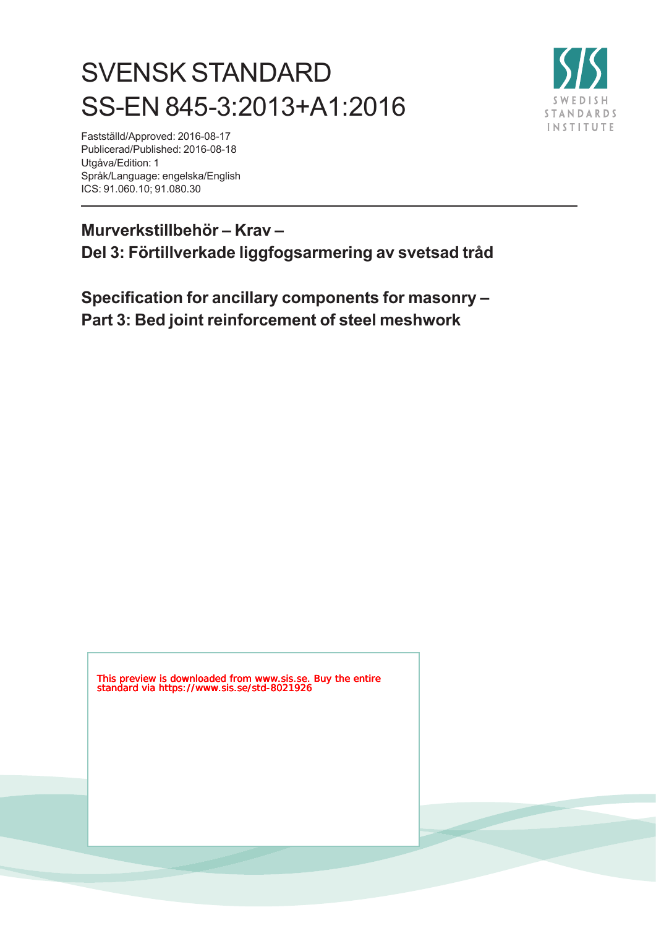# SVENSK STANDARD SS-EN 845-3:2013+A1:2016



Fastställd/Approved: 2016-08-17 Publicerad/Published: 2016-08-18 Utgåva/Edition: 1 Språk/Language: engelska/English ICS: 91.060.10; 91.080.30

**Murverkstillbehör – Krav – Del 3: Förtillverkade liggfogsarmering av svetsad tråd**

**Specification for ancillary components for masonry – Part 3: Bed joint reinforcement of steel meshwork**

This preview is downloaded from www.sis.se. Buy the entire standard via https://www.sis.se/std-8021926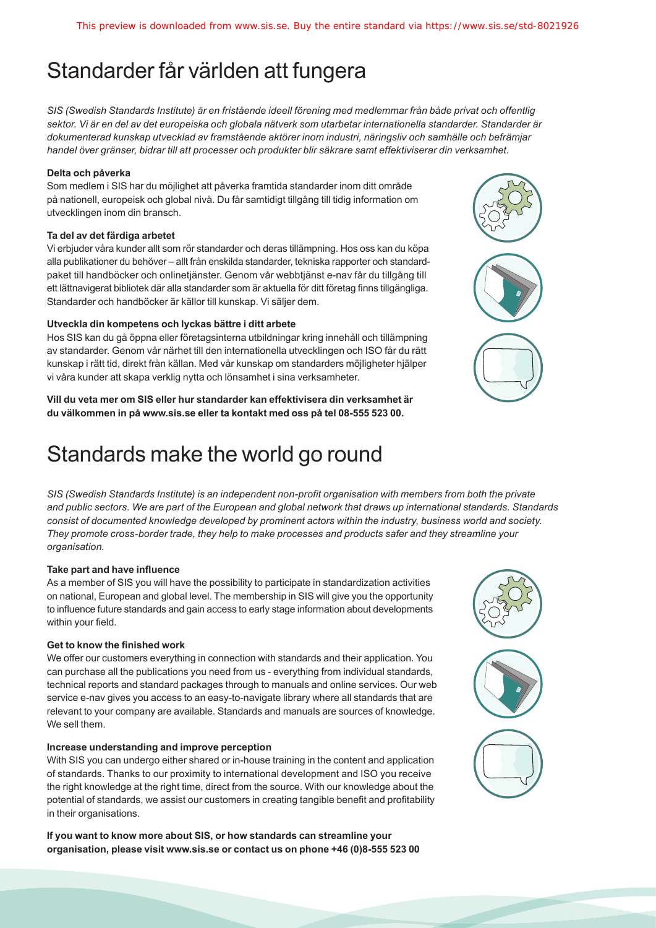# Standarder får världen att fungera

*SIS (Swedish Standards Institute) är en fristående ideell förening med medlemmar från både privat och offentlig sektor. Vi är en del av det europeiska och globala nätverk som utarbetar internationella standarder. Standarder är dokumenterad kunskap utvecklad av framstående aktörer inom industri, näringsliv och samhälle och befrämjar handel över gränser, bidrar till att processer och produkter blir säkrare samt effektiviserar din verksamhet.* 

#### **Delta och påverka**

Som medlem i SIS har du möjlighet att påverka framtida standarder inom ditt område på nationell, europeisk och global nivå. Du får samtidigt tillgång till tidig information om utvecklingen inom din bransch.

#### **Ta del av det färdiga arbetet**

Vi erbjuder våra kunder allt som rör standarder och deras tillämpning. Hos oss kan du köpa alla publikationer du behöver – allt från enskilda standarder, tekniska rapporter och standardpaket till handböcker och onlinetjänster. Genom vår webbtjänst e-nav får du tillgång till ett lättnavigerat bibliotek där alla standarder som är aktuella för ditt företag finns tillgängliga. Standarder och handböcker är källor till kunskap. Vi säljer dem.

#### **Utveckla din kompetens och lyckas bättre i ditt arbete**

Hos SIS kan du gå öppna eller företagsinterna utbildningar kring innehåll och tillämpning av standarder. Genom vår närhet till den internationella utvecklingen och ISO får du rätt kunskap i rätt tid, direkt från källan. Med vår kunskap om standarders möjligheter hjälper vi våra kunder att skapa verklig nytta och lönsamhet i sina verksamheter.

**Vill du veta mer om SIS eller hur standarder kan effektivisera din verksamhet är du välkommen in på www.sis.se eller ta kontakt med oss på tel 08-555 523 00.**

# Standards make the world go round

*SIS (Swedish Standards Institute) is an independent non-profit organisation with members from both the private and public sectors. We are part of the European and global network that draws up international standards. Standards consist of documented knowledge developed by prominent actors within the industry, business world and society. They promote cross-border trade, they help to make processes and products safer and they streamline your organisation.*

#### **Take part and have influence**

As a member of SIS you will have the possibility to participate in standardization activities on national, European and global level. The membership in SIS will give you the opportunity to influence future standards and gain access to early stage information about developments within your field.

#### **Get to know the finished work**

We offer our customers everything in connection with standards and their application. You can purchase all the publications you need from us - everything from individual standards, technical reports and standard packages through to manuals and online services. Our web service e-nav gives you access to an easy-to-navigate library where all standards that are relevant to your company are available. Standards and manuals are sources of knowledge. We sell them.

#### **Increase understanding and improve perception**

With SIS you can undergo either shared or in-house training in the content and application of standards. Thanks to our proximity to international development and ISO you receive the right knowledge at the right time, direct from the source. With our knowledge about the potential of standards, we assist our customers in creating tangible benefit and profitability in their organisations.

**If you want to know more about SIS, or how standards can streamline your organisation, please visit www.sis.se or contact us on phone +46 (0)8-555 523 00**



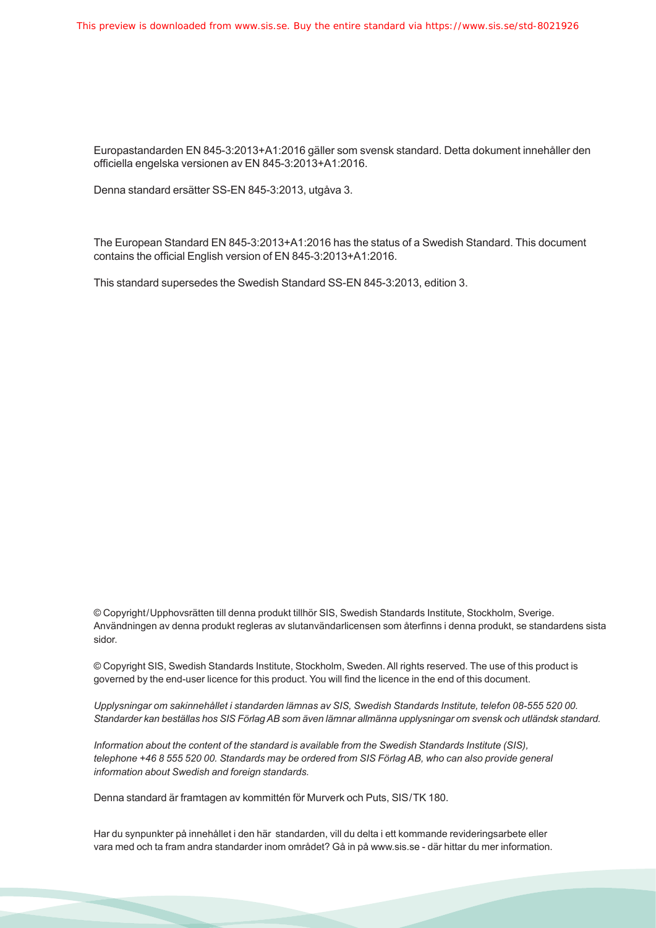Europastandarden EN 845-3:2013+A1:2016 gäller som svensk standard. Detta dokument innehåller den officiella engelska versionen av EN 845-3:2013+A1:2016.

Denna standard ersätter SS-EN 845-3:2013, utgåva 3.

The European Standard EN 845-3:2013+A1:2016 has the status of a Swedish Standard. This document contains the official English version of EN 845-3:2013+A1:2016.

This standard supersedes the Swedish Standard SS-EN 845-3:2013, edition 3.

© Copyright / Upphovsrätten till denna produkt tillhör SIS, Swedish Standards Institute, Stockholm, Sverige. Användningen av denna produkt regleras av slutanvändarlicensen som återfinns i denna produkt, se standardens sista sidor.

© Copyright SIS, Swedish Standards Institute, Stockholm, Sweden. All rights reserved. The use of this product is governed by the end-user licence for this product. You will find the licence in the end of this document.

*Upplysningar om sakinnehållet i standarden lämnas av SIS, Swedish Standards Institute, telefon 08-555 520 00. Standarder kan beställas hos SIS Förlag AB som även lämnar allmänna upplysningar om svensk och utländsk standard.*

*Information about the content of the standard is available from the Swedish Standards Institute (SIS), telephone +46 8 555 520 00. Standards may be ordered from SIS Förlag AB, who can also provide general information about Swedish and foreign standards.*

Denna standard är framtagen av kommittén för Murverk och Puts, SIS / TK 180.

Har du synpunkter på innehållet i den här standarden, vill du delta i ett kommande revideringsarbete eller vara med och ta fram andra standarder inom området? Gå in på www.sis.se - där hittar du mer information.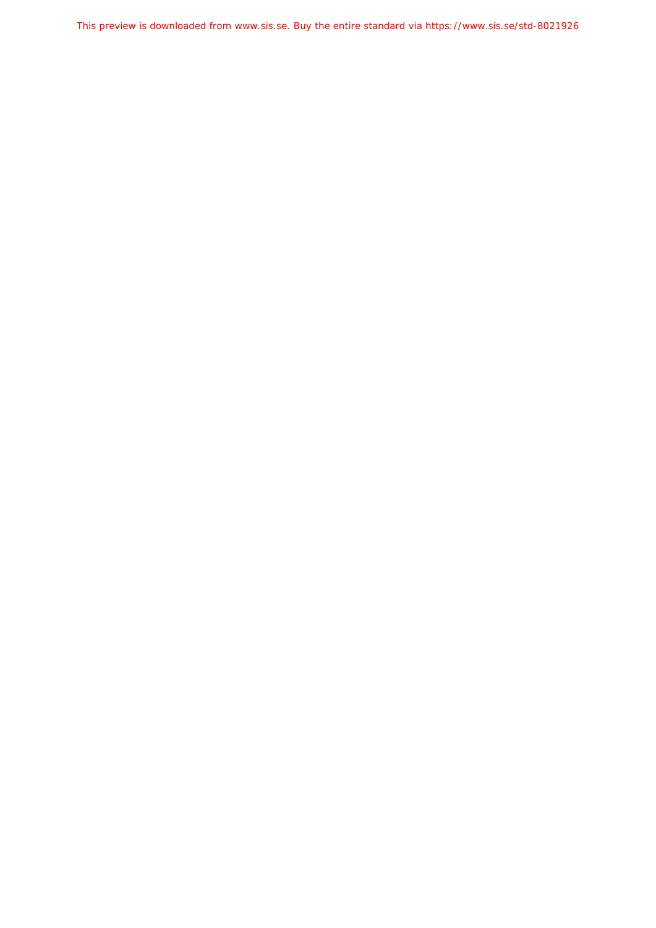This preview is downloaded from www.sis.se. Buy the entire standard via https://www.sis.se/std-8021926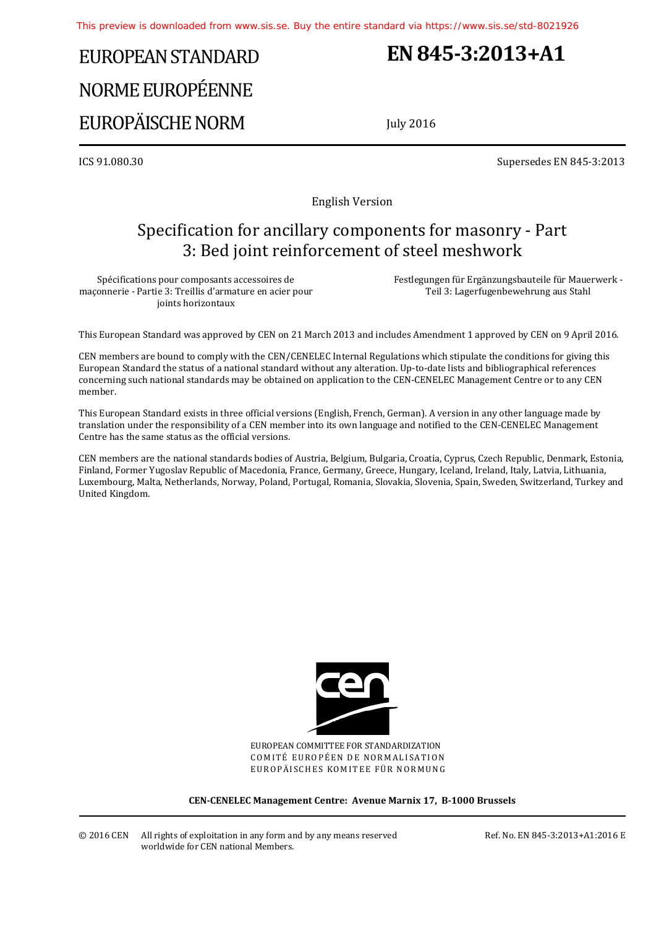# EUROPEAN STANDARD NORME EUROPÉENNE EUROPÄISCHE NORM

## **EN 845-3:2013+A1**

July 2016

ICS 91.080.30 Supersedes EN 845-3:2013

English Version

## Specification for ancillary components for masonry - Part 3: Bed joint reinforcement of steel meshwork

Spécifications pour composants accessoires de maçonnerie - Partie 3: Treillis d'armature en acier pour joints horizontaux

 Festlegungen für Ergänzungsbauteile für Mauerwerk - Teil 3: Lagerfugenbewehrung aus Stahl

This European Standard was approved by CEN on 21 March 2013 and includes Amendment 1 approved by CEN on 9 April 2016.

CEN members are bound to comply with the CEN/CENELEC Internal Regulations which stipulate the conditions for giving this European Standard the status of a national standard without any alteration. Up-to-date lists and bibliographical references concerning such national standards may be obtained on application to the CEN-CENELEC Management Centre or to any CEN member.

This European Standard exists in three official versions (English, French, German). A version in any other language made by translation under the responsibility of a CEN member into its own language and notified to the CEN-CENELEC Management Centre has the same status as the official versions.

CEN members are the national standards bodies of Austria, Belgium, Bulgaria, Croatia, Cyprus, Czech Republic, Denmark, Estonia, Finland, Former Yugoslav Republic of Macedonia, France, Germany, Greece, Hungary, Iceland, Ireland, Italy, Latvia, Lithuania, Luxembourg, Malta, Netherlands, Norway, Poland, Portugal, Romania, Slovakia, Slovenia, Spain, Sweden, Switzerland, Turkey and United Kingdom.



EUROPEAN COMMITTEE FOR STANDARDIZATION COMITÉ EUROPÉEN DE NORMALISATION EUROPÄISCHES KOMITEE FÜR NORMUNG

**CEN-CENELEC Management Centre: Avenue Marnix 17, B-1000 Brussels** 

© 2016 CEN All rights of exploitation in any form and by any means reserved worldwide for CEN national Members.

Ref. No. EN 845-3:2013+A1:2016 E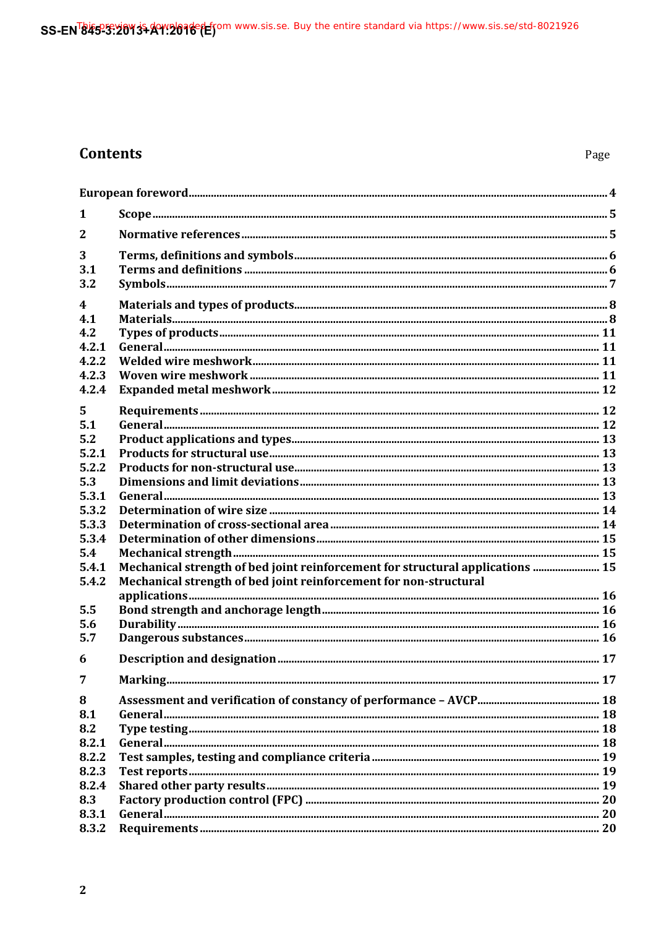SS-EN<sup>T845-3:2013+2012616</sup> (Efom www.sis.se. Buy the entire standard via https://www.sis.se/std-8021926

## **Contents**

| 1              |                                                                                |  |  |
|----------------|--------------------------------------------------------------------------------|--|--|
| $\overline{2}$ |                                                                                |  |  |
| 3              |                                                                                |  |  |
| 3.1            |                                                                                |  |  |
| 3.2            |                                                                                |  |  |
| 4              |                                                                                |  |  |
| 4.1            |                                                                                |  |  |
| 4.2            |                                                                                |  |  |
| 4.2.1          |                                                                                |  |  |
| 4.2.2          |                                                                                |  |  |
| 4.2.3          |                                                                                |  |  |
| 4.2.4          |                                                                                |  |  |
| 5              |                                                                                |  |  |
| 5.1            |                                                                                |  |  |
| 5.2            |                                                                                |  |  |
| 5.2.1          |                                                                                |  |  |
| 5.2.2          |                                                                                |  |  |
| 5.3            |                                                                                |  |  |
| 5.3.1          |                                                                                |  |  |
| 5.3.2          |                                                                                |  |  |
| 5.3.3          |                                                                                |  |  |
| 5.3.4          |                                                                                |  |  |
| 5.4            |                                                                                |  |  |
| 5.4.1          | Mechanical strength of bed joint reinforcement for structural applications  15 |  |  |
| 5.4.2          | Mechanical strength of bed joint reinforcement for non-structural              |  |  |
| 5.5            |                                                                                |  |  |
| 5.6            |                                                                                |  |  |
| 5.7            |                                                                                |  |  |
|                |                                                                                |  |  |
| 6              |                                                                                |  |  |
| 7              |                                                                                |  |  |
| 8              |                                                                                |  |  |
| 8.1            |                                                                                |  |  |
| 8.2            |                                                                                |  |  |
| 8.2.1          |                                                                                |  |  |
| 8.2.2          |                                                                                |  |  |
| 8.2.3          |                                                                                |  |  |
| 8.2.4          |                                                                                |  |  |
| 8.3            |                                                                                |  |  |
| 8.3.1          |                                                                                |  |  |
| 8.3.2          |                                                                                |  |  |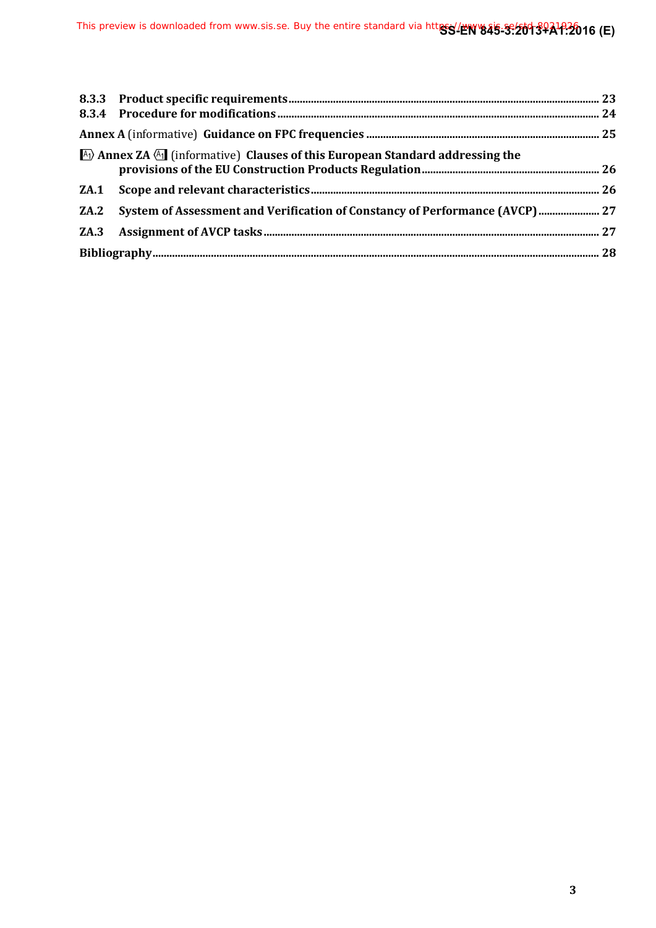| A Annex ZA $\overline{A_1}$ (informative) Clauses of this European Standard addressing the |  |
|--------------------------------------------------------------------------------------------|--|
|                                                                                            |  |
| 27 EA.2 System of Assessment and Verification of Constancy of Performance (AVCP)           |  |
|                                                                                            |  |
|                                                                                            |  |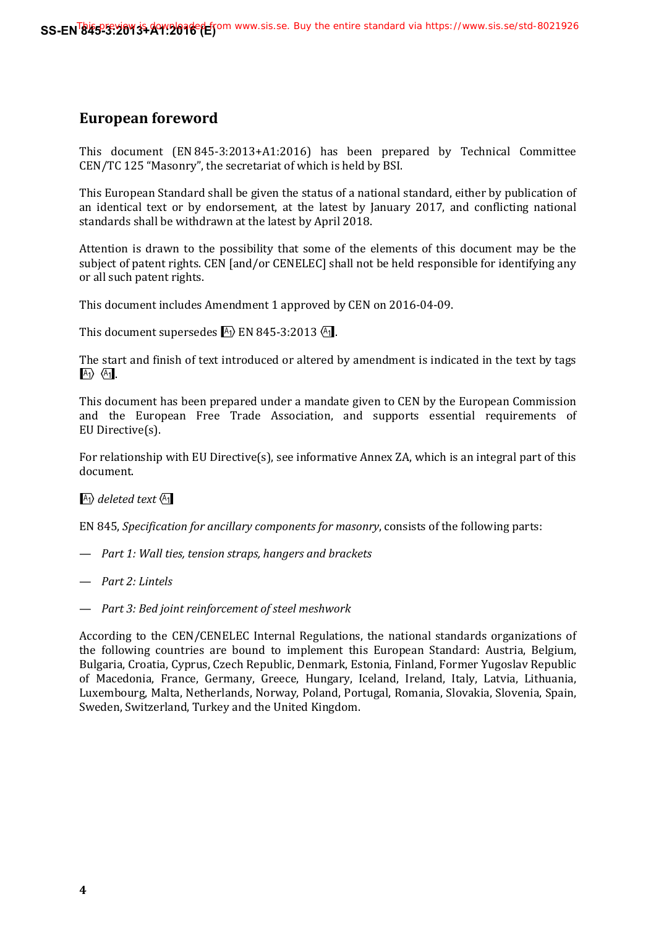## **European foreword**

This document (EN 845-3:2013+A1:2016) has been prepared by Technical Committee CEN/TC 125 "Masonry", the secretariat of which is held by BSI.

This European Standard shall be given the status of a national standard, either by publication of an identical text or by endorsement, at the latest by January 2017, and conflicting national standards shall be withdrawn at the latest by April 2018.

Attention is drawn to the possibility that some of the elements of this document may be the subject of patent rights. CEN [and/or CENELEC] shall not be held responsible for identifying any or all such patent rights.

This document includes Amendment 1 approved by CEN on 2016-04-09.

This document supersedes  $\overline{A_1}$  EN 845-3:2013 $\overline{A_1}$ .

The start and finish of text introduced or altered by amendment is indicated in the text by tags  $A_1$ ,  $A_1$ .

This document has been prepared under a mandate given to CEN by the European Commission and the European Free Trade Association, and supports essential requirements of EU Directive(s).

For relationship with EU Directive(s), see informative Annex ZA, which is an integral part of this document.

 $\overline{A_1}$ *deleted text*  $\overline{A_1}$ 

EN 845, *Specification for ancillary components for masonry*, consists of the following parts:

- *Part 1: Wall ties, tension straps, hangers and brackets*
- *Part 2: Lintels*
- *Part 3: Bed joint reinforcement of steel meshwork*

According to the CEN/CENELEC Internal Regulations, the national standards organizations of the following countries are bound to implement this European Standard: Austria, Belgium, Bulgaria, Croatia, Cyprus, Czech Republic, Denmark, Estonia, Finland, Former Yugoslav Republic of Macedonia, France, Germany, Greece, Hungary, Iceland, Ireland, Italy, Latvia, Lithuania, Luxembourg, Malta, Netherlands, Norway, Poland, Portugal, Romania, Slovakia, Slovenia, Spain, Sweden, Switzerland, Turkey and the United Kingdom.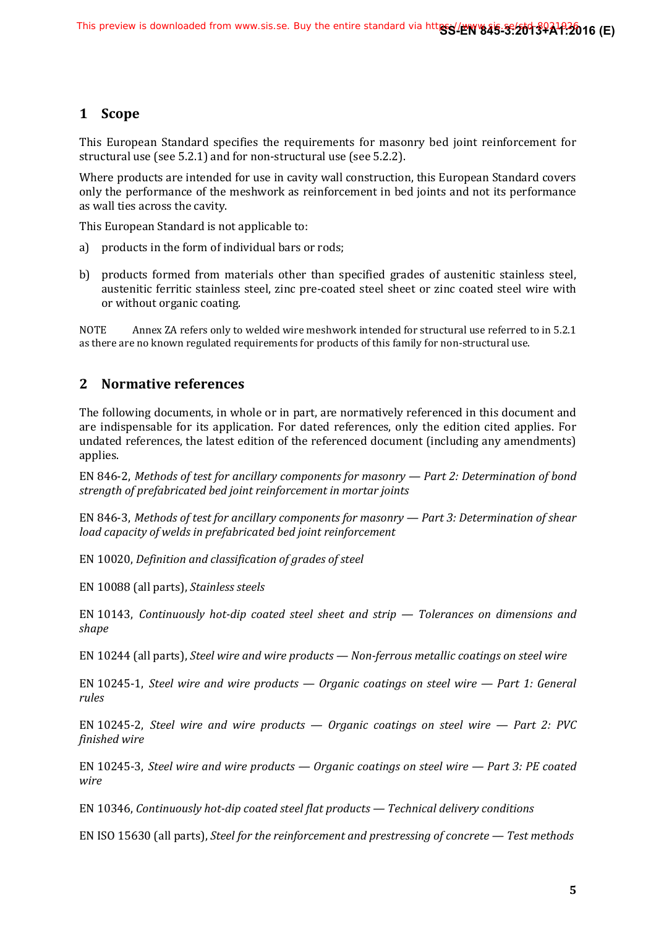## **1 Scope**

This European Standard specifies the requirements for masonry bed joint reinforcement for structural use (see 5.2.1) and for non-structural use (see 5.2.2).

Where products are intended for use in cavity wall construction, this European Standard covers only the performance of the meshwork as reinforcement in bed joints and not its performance as wall ties across the cavity.

This European Standard is not applicable to:

- a) products in the form of individual bars or rods;
- b) products formed from materials other than specified grades of austenitic stainless steel, austenitic ferritic stainless steel, zinc pre-coated steel sheet or zinc coated steel wire with or without organic coating.

NOTE Annex ZA refers only to welded wire meshwork intended for structural use referred to in 5.2.1 as there are no known regulated requirements for products of this family for non-structural use.

### **2 Normative references**

The following documents, in whole or in part, are normatively referenced in this document and are indispensable for its application. For dated references, only the edition cited applies. For undated references, the latest edition of the referenced document (including any amendments) applies.

EN 846-2, *Methods of test for ancillary components for masonry — Part 2: Determination of bond strength of prefabricated bed joint reinforcement in mortar joints*

EN 846-3, *Methods of test for ancillary components for masonry — Part 3: Determination of shear load capacity of welds in prefabricated bed joint reinforcement*

EN 10020, *Definition and classification of grades of steel*

EN 10088 (all parts), *Stainless steels*

EN 10143, *Continuously hot-dip coated steel sheet and strip — Tolerances on dimensions and shape*

EN 10244 (all parts), *Steel wire and wire products — Non-ferrous metallic coatings on steel wire*

EN 10245-1, *Steel wire and wire products — Organic coatings on steel wire — Part 1: General rules*

EN 10245-2, *Steel wire and wire products — Organic coatings on steel wire — Part 2: PVC finished wire*

EN 10245-3, *Steel wire and wire products — Organic coatings on steel wire — Part 3: PE coated wire*

EN 10346, *Continuously hot-dip coated steel flat products — Technical delivery conditions*

EN ISO 15630 (all parts), *Steel for the reinforcement and prestressing of concrete — Test methods*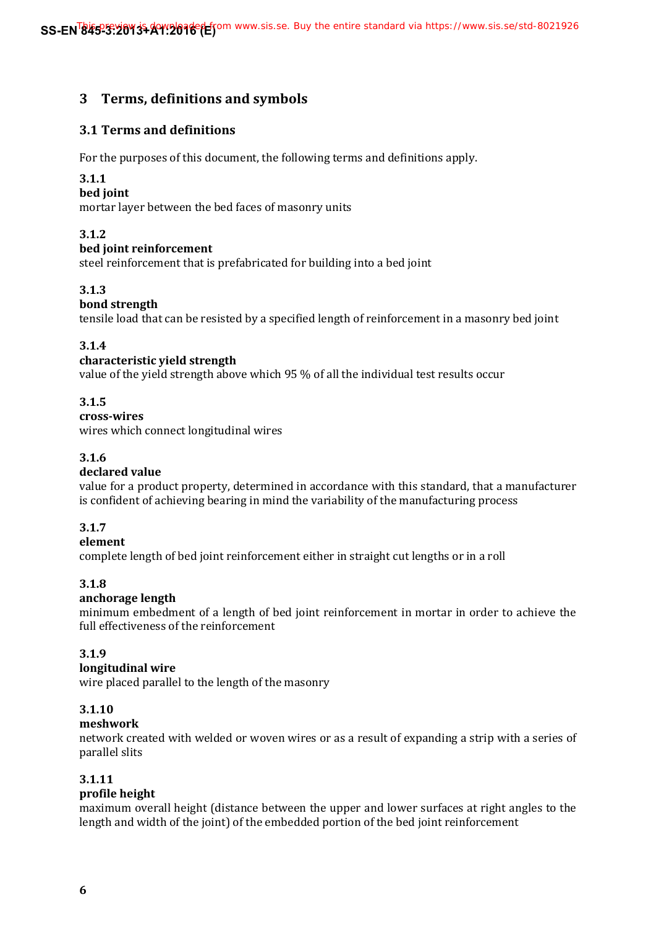## **3 Terms, definitions and symbols**

#### **3.1 Terms and definitions**

For the purposes of this document, the following terms and definitions apply.

#### **3.1.1**

#### **bed joint**

mortar layer between the bed faces of masonry units

#### **3.1.2**

#### **bed joint reinforcement**

steel reinforcement that is prefabricated for building into a bed joint

#### **3.1.3**

#### **bond strength**

tensile load that can be resisted by a specified length of reinforcement in a masonry bed joint

#### **3.1.4**

#### **characteristic yield strength**

value of the yield strength above which 95 % of all the individual test results occur

#### **3.1.5**

#### **cross-wires**

wires which connect longitudinal wires

#### **3.1.6**

#### **declared value**

value for a product property, determined in accordance with this standard, that a manufacturer is confident of achieving bearing in mind the variability of the manufacturing process

#### **3.1.7**

#### **element**

complete length of bed joint reinforcement either in straight cut lengths or in a roll

#### **3.1.8**

#### **anchorage length**

minimum embedment of a length of bed joint reinforcement in mortar in order to achieve the full effectiveness of the reinforcement

#### **3.1.9**

#### **longitudinal wire**

wire placed parallel to the length of the masonry

#### **3.1.10**

#### **meshwork**

network created with welded or woven wires or as a result of expanding a strip with a series of parallel slits

#### **3.1.11**

#### **profile height**

maximum overall height (distance between the upper and lower surfaces at right angles to the length and width of the joint) of the embedded portion of the bed joint reinforcement